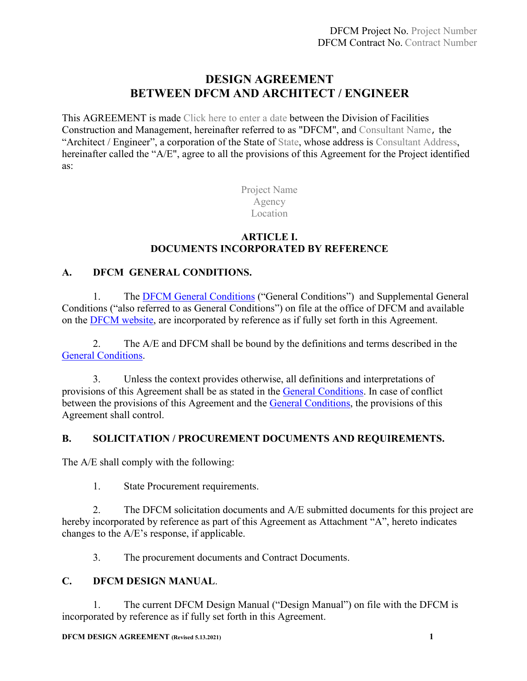# **DESIGN AGREEMENT BETWEEN DFCM AND ARCHITECT / ENGINEER**

This AGREEMENT is made Click here to enter a date between the Division of Facilities Construction and Management, hereinafter referred to as "DFCM", and Consultant Name, the "Architect / Engineer", a corporation of the State of State, whose address is Consultant Address, hereinafter called the "A/E", agree to all the provisions of this Agreement for the Project identified as:

> Project Name Agency Location

#### **ARTICLE I. DOCUMENTS INCORPORATED BY REFERENCE**

## **A. DFCM GENERAL CONDITIONS.**

1. The [DFCM General Conditions](https://dfcm.utah.gov/construction-management/#documents) ("General Conditions") and Supplemental General Conditions ("also referred to as General Conditions") on file at the office of DFCM and available on the [DFCM website,](https://dfcm.utah.gov/wp-content/uploads/DFCM-General-Conditions.pdf) are incorporated by reference as if fully set forth in this Agreement.

2. The A/E and DFCM shall be bound by the definitions and terms described in the [General Conditions.](https://dfcm.utah.gov/construction-management/#documents)

3. Unless the context provides otherwise, all definitions and interpretations of provisions of this Agreement shall be as stated in the [General Conditions.](https://dfcm.utah.gov/construction-management/#documents) In case of conflict between the provisions of this Agreement and the [General Conditions,](https://dfcm.utah.gov/construction-management/#documents) the provisions of this Agreement shall control.

#### **B. SOLICITATION / PROCUREMENT DOCUMENTS AND REQUIREMENTS.**

The A/E shall comply with the following:

1. State Procurement requirements.

2. The DFCM solicitation documents and A/E submitted documents for this project are hereby incorporated by reference as part of this Agreement as Attachment "A", hereto indicates changes to the A/E's response, if applicable.

3. The procurement documents and Contract Documents.

#### **C. DFCM DESIGN MANUAL**.

1. The current DFCM Design Manual ("Design Manual") on file with the DFCM is incorporated by reference as if fully set forth in this Agreement.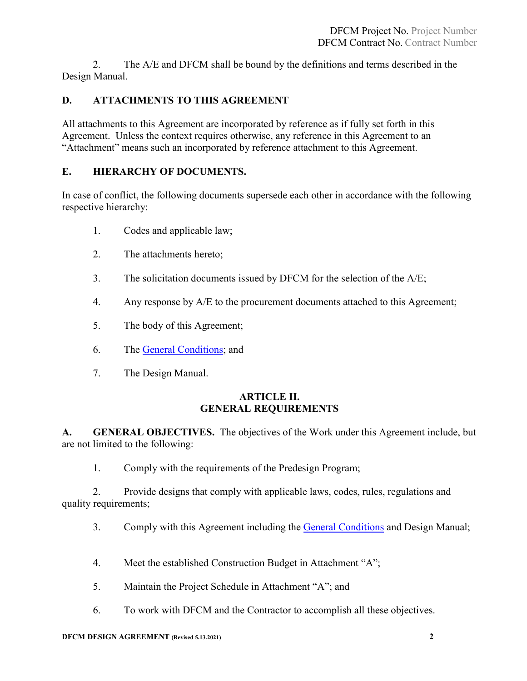2. The A/E and DFCM shall be bound by the definitions and terms described in the Design Manual.

# **D. ATTACHMENTS TO THIS AGREEMENT**

All attachments to this Agreement are incorporated by reference as if fully set forth in this Agreement. Unless the context requires otherwise, any reference in this Agreement to an "Attachment" means such an incorporated by reference attachment to this Agreement.

## **E. HIERARCHY OF DOCUMENTS.**

In case of conflict, the following documents supersede each other in accordance with the following respective hierarchy:

- 1. Codes and applicable law;
- 2. The attachments hereto;
- 3. The solicitation documents issued by DFCM for the selection of the A/E;
- 4. Any response by A/E to the procurement documents attached to this Agreement;
- 5. The body of this Agreement;
- 6. The [General Conditions;](https://dfcm.utah.gov/construction-management/#documents) and
- 7. The Design Manual.

## **ARTICLE II. GENERAL REQUIREMENTS**

**A. GENERAL OBJECTIVES.** The objectives of the Work under this Agreement include, but are not limited to the following:

1. Comply with the requirements of the Predesign Program;

2. Provide designs that comply with applicable laws, codes, rules, regulations and quality requirements;

- 3. Comply with this Agreement including the [General Conditions](https://dfcm.utah.gov/construction-management/#documents) and Design Manual;
- 4. Meet the established Construction Budget in Attachment "A";
- 5. Maintain the Project Schedule in Attachment "A"; and
- 6. To work with DFCM and the Contractor to accomplish all these objectives.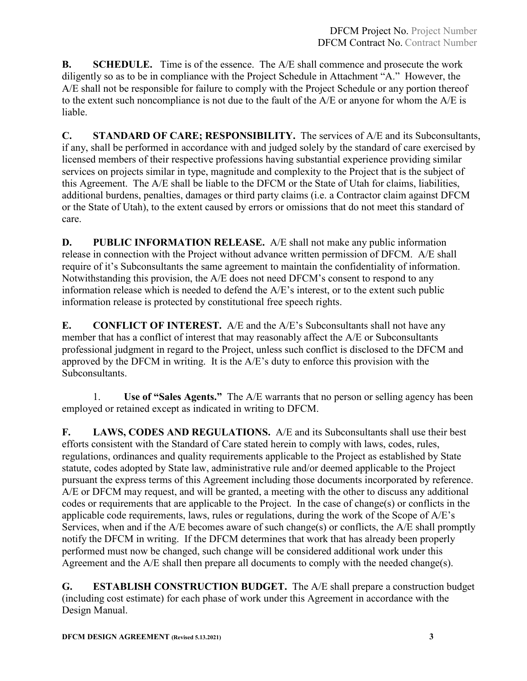**B. SCHEDULE.** Time is of the essence. The A/E shall commence and prosecute the work diligently so as to be in compliance with the Project Schedule in Attachment "A." However, the A/E shall not be responsible for failure to comply with the Project Schedule or any portion thereof to the extent such noncompliance is not due to the fault of the A/E or anyone for whom the A/E is liable.

**C. STANDARD OF CARE; RESPONSIBILITY.** The services of A/E and its Subconsultants, if any, shall be performed in accordance with and judged solely by the standard of care exercised by licensed members of their respective professions having substantial experience providing similar services on projects similar in type, magnitude and complexity to the Project that is the subject of this Agreement. The A/E shall be liable to the DFCM or the State of Utah for claims, liabilities, additional burdens, penalties, damages or third party claims (i.e. a Contractor claim against DFCM or the State of Utah), to the extent caused by errors or omissions that do not meet this standard of care.

**D. PUBLIC INFORMATION RELEASE.** A/E shall not make any public information release in connection with the Project without advance written permission of DFCM. A/E shall require of it's Subconsultants the same agreement to maintain the confidentiality of information. Notwithstanding this provision, the A/E does not need DFCM's consent to respond to any information release which is needed to defend the A/E's interest, or to the extent such public information release is protected by constitutional free speech rights.

**E. CONFLICT OF INTEREST.** A/E and the A/E's Subconsultants shall not have any member that has a conflict of interest that may reasonably affect the A/E or Subconsultants professional judgment in regard to the Project, unless such conflict is disclosed to the DFCM and approved by the DFCM in writing. It is the A/E's duty to enforce this provision with the Subconsultants.

1. **Use of "Sales Agents."** The A/E warrants that no person or selling agency has been employed or retained except as indicated in writing to DFCM.

**F. LAWS, CODES AND REGULATIONS.** A/E and its Subconsultants shall use their best efforts consistent with the Standard of Care stated herein to comply with laws, codes, rules, regulations, ordinances and quality requirements applicable to the Project as established by State statute, codes adopted by State law, administrative rule and/or deemed applicable to the Project pursuant the express terms of this Agreement including those documents incorporated by reference. A/E or DFCM may request, and will be granted, a meeting with the other to discuss any additional codes or requirements that are applicable to the Project. In the case of change(s) or conflicts in the applicable code requirements, laws, rules or regulations, during the work of the Scope of A/E's Services, when and if the A/E becomes aware of such change(s) or conflicts, the A/E shall promptly notify the DFCM in writing. If the DFCM determines that work that has already been properly performed must now be changed, such change will be considered additional work under this Agreement and the A/E shall then prepare all documents to comply with the needed change(s).

**G. ESTABLISH CONSTRUCTION BUDGET.** The A/E shall prepare a construction budget (including cost estimate) for each phase of work under this Agreement in accordance with the Design Manual.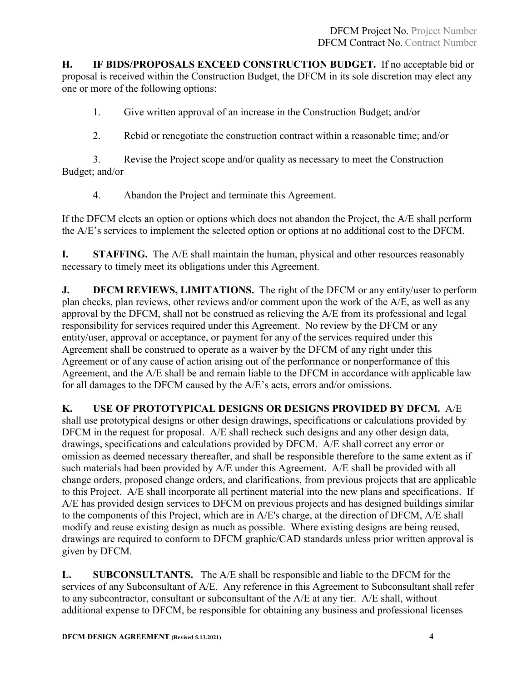**H. IF BIDS/PROPOSALS EXCEED CONSTRUCTION BUDGET.** If no acceptable bid or proposal is received within the Construction Budget, the DFCM in its sole discretion may elect any one or more of the following options:

1. Give written approval of an increase in the Construction Budget; and/or

2. Rebid or renegotiate the construction contract within a reasonable time; and/or

3. Revise the Project scope and/or quality as necessary to meet the Construction Budget; and/or

4. Abandon the Project and terminate this Agreement.

If the DFCM elects an option or options which does not abandon the Project, the A/E shall perform the A/E's services to implement the selected option or options at no additional cost to the DFCM.

**I. STAFFING.** The A/E shall maintain the human, physical and other resources reasonably necessary to timely meet its obligations under this Agreement.

**J. DFCM REVIEWS, LIMITATIONS.** The right of the DFCM or any entity/user to perform plan checks, plan reviews, other reviews and/or comment upon the work of the A/E, as well as any approval by the DFCM, shall not be construed as relieving the A/E from its professional and legal responsibility for services required under this Agreement. No review by the DFCM or any entity/user, approval or acceptance, or payment for any of the services required under this Agreement shall be construed to operate as a waiver by the DFCM of any right under this Agreement or of any cause of action arising out of the performance or nonperformance of this Agreement, and the A/E shall be and remain liable to the DFCM in accordance with applicable law for all damages to the DFCM caused by the A/E's acts, errors and/or omissions.

**K. USE OF PROTOTYPICAL DESIGNS OR DESIGNS PROVIDED BY DFCM.** A/E shall use prototypical designs or other design drawings, specifications or calculations provided by DFCM in the request for proposal. A/E shall recheck such designs and any other design data, drawings, specifications and calculations provided by DFCM. A/E shall correct any error or omission as deemed necessary thereafter, and shall be responsible therefore to the same extent as if such materials had been provided by A/E under this Agreement. A/E shall be provided with all change orders, proposed change orders, and clarifications, from previous projects that are applicable to this Project. A/E shall incorporate all pertinent material into the new plans and specifications. If A/E has provided design services to DFCM on previous projects and has designed buildings similar to the components of this Project, which are in A/E's charge, at the direction of DFCM, A/E shall modify and reuse existing design as much as possible. Where existing designs are being reused, drawings are required to conform to DFCM graphic/CAD standards unless prior written approval is given by DFCM.

**L. SUBCONSULTANTS.** The A/E shall be responsible and liable to the DFCM for the services of any Subconsultant of A/E. Any reference in this Agreement to Subconsultant shall refer to any subcontractor, consultant or subconsultant of the A/E at any tier. A/E shall, without additional expense to DFCM, be responsible for obtaining any business and professional licenses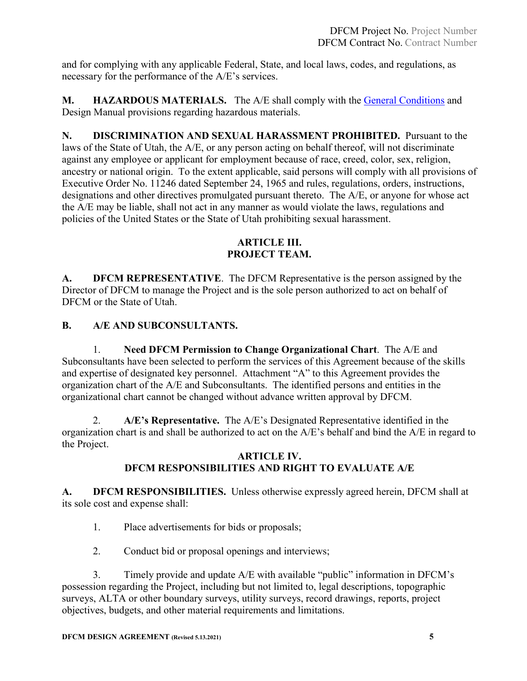and for complying with any applicable Federal, State, and local laws, codes, and regulations, as necessary for the performance of the A/E's services.

**M. HAZARDOUS MATERIALS.** The A/E shall comply with the [General Conditions](https://dfcm.utah.gov/construction-management/#documents) and Design Manual provisions regarding hazardous materials.

**N. DISCRIMINATION AND SEXUAL HARASSMENT PROHIBITED.** Pursuant to the laws of the State of Utah, the A/E, or any person acting on behalf thereof, will not discriminate against any employee or applicant for employment because of race, creed, color, sex, religion, ancestry or national origin. To the extent applicable, said persons will comply with all provisions of Executive Order No. 11246 dated September 24, 1965 and rules, regulations, orders, instructions, designations and other directives promulgated pursuant thereto. The A/E, or anyone for whose act the A/E may be liable, shall not act in any manner as would violate the laws, regulations and policies of the United States or the State of Utah prohibiting sexual harassment.

# **ARTICLE III. PROJECT TEAM.**

**A. DFCM REPRESENTATIVE**. The DFCM Representative is the person assigned by the Director of DFCM to manage the Project and is the sole person authorized to act on behalf of DFCM or the State of Utah.

# **B. A/E AND SUBCONSULTANTS.**

1. **Need DFCM Permission to Change Organizational Chart**. The A/E and Subconsultants have been selected to perform the services of this Agreement because of the skills and expertise of designated key personnel. Attachment "A" to this Agreement provides the organization chart of the A/E and Subconsultants. The identified persons and entities in the organizational chart cannot be changed without advance written approval by DFCM.

2. **A/E's Representative.** The A/E's Designated Representative identified in the organization chart is and shall be authorized to act on the A/E's behalf and bind the A/E in regard to the Project.

## **ARTICLE IV. DFCM RESPONSIBILITIES AND RIGHT TO EVALUATE A/E**

**A. DFCM RESPONSIBILITIES.** Unless otherwise expressly agreed herein, DFCM shall at its sole cost and expense shall:

- 1. Place advertisements for bids or proposals;
- 2. Conduct bid or proposal openings and interviews;

3. Timely provide and update A/E with available "public" information in DFCM's possession regarding the Project, including but not limited to, legal descriptions, topographic surveys, ALTA or other boundary surveys, utility surveys, record drawings, reports, project objectives, budgets, and other material requirements and limitations.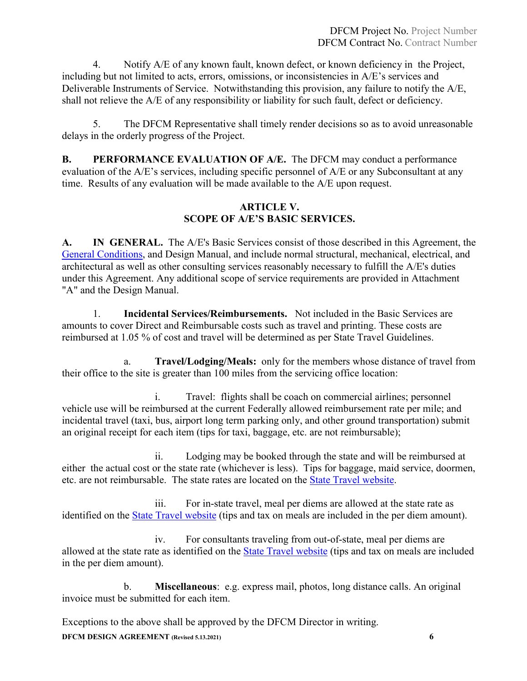4. Notify A/E of any known fault, known defect, or known deficiency in the Project, including but not limited to acts, errors, omissions, or inconsistencies in A/E's services and Deliverable Instruments of Service. Notwithstanding this provision, any failure to notify the A/E, shall not relieve the A/E of any responsibility or liability for such fault, defect or deficiency.

5. The DFCM Representative shall timely render decisions so as to avoid unreasonable delays in the orderly progress of the Project.

**B. PERFORMANCE EVALUATION OF A/E.** The DFCM may conduct a performance evaluation of the A/E's services, including specific personnel of A/E or any Subconsultant at any time. Results of any evaluation will be made available to the A/E upon request.

# **ARTICLE V. SCOPE OF A/E'S BASIC SERVICES.**

**A. IN GENERAL.** The A/E's Basic Services consist of those described in this Agreement, the [General Conditions,](https://dfcm.utah.gov/construction-management/#documents) and Design Manual, and include normal structural, mechanical, electrical, and architectural as well as other consulting services reasonably necessary to fulfill the A/E's duties under this Agreement. Any additional scope of service requirements are provided in Attachment "A" and the Design Manual.

1. **Incidental Services/Reimbursements.** Not included in the Basic Services are amounts to cover Direct and Reimbursable costs such as travel and printing. These costs are reimbursed at 1.05 % of cost and travel will be determined as per State Travel Guidelines.

a. **Travel/Lodging/Meals:** only for the members whose distance of travel from their office to the site is greater than 100 miles from the servicing office location:

i. Travel: flights shall be coach on commercial airlines; personnel vehicle use will be reimbursed at the current Federally allowed reimbursement rate per mile; and incidental travel (taxi, bus, airport long term parking only, and other ground transportation) submit an original receipt for each item (tips for taxi, baggage, etc. are not reimbursable);

ii. Lodging may be booked through the state and will be reimbursed at either the actual cost or the state rate (whichever is less). Tips for baggage, maid service, doormen, etc. are not reimbursable. The state rates are located on the [State Travel website.](http://fleet.utah.gov/state-travel-a/)

iii. For in-state travel, meal per diems are allowed at the state rate as identified on the [State Travel website](http://fleet.utah.gov/state-travel-a/) (tips and tax on meals are included in the per diem amount).

iv. For consultants traveling from out-of-state, meal per diems are allowed at the state rate as identified on the [State Travel website](http://fleet.utah.gov/state-travel-a/) (tips and tax on meals are included in the per diem amount).

b. **Miscellaneous**: e.g. express mail, photos, long distance calls. An original invoice must be submitted for each item.

**DFCM DESIGN AGREEMENT (Revised 5.13.2021) 6** Exceptions to the above shall be approved by the DFCM Director in writing.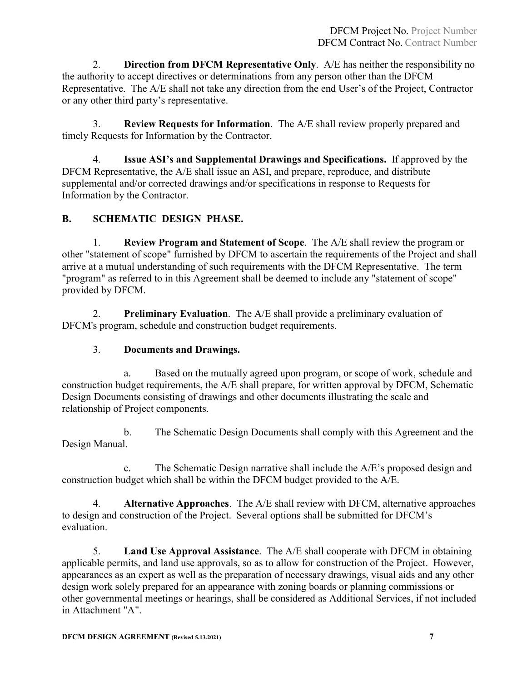2. **Direction from DFCM Representative Only**. A/E has neither the responsibility no the authority to accept directives or determinations from any person other than the DFCM Representative. The A/E shall not take any direction from the end User's of the Project, Contractor or any other third party's representative.

3. **Review Requests for Information**. The A/E shall review properly prepared and timely Requests for Information by the Contractor.

4. **Issue ASI's and Supplemental Drawings and Specifications.** If approved by the DFCM Representative, the A/E shall issue an ASI, and prepare, reproduce, and distribute supplemental and/or corrected drawings and/or specifications in response to Requests for Information by the Contractor.

# **B. SCHEMATIC DESIGN PHASE.**

1. **Review Program and Statement of Scope**. The A/E shall review the program or other "statement of scope" furnished by DFCM to ascertain the requirements of the Project and shall arrive at a mutual understanding of such requirements with the DFCM Representative. The term "program" as referred to in this Agreement shall be deemed to include any "statement of scope" provided by DFCM.

2. **Preliminary Evaluation**. The A/E shall provide a preliminary evaluation of DFCM's program, schedule and construction budget requirements.

# 3. **Documents and Drawings.**

a. Based on the mutually agreed upon program, or scope of work, schedule and construction budget requirements, the A/E shall prepare, for written approval by DFCM, Schematic Design Documents consisting of drawings and other documents illustrating the scale and relationship of Project components.

b. The Schematic Design Documents shall comply with this Agreement and the Design Manual.

c. The Schematic Design narrative shall include the A/E's proposed design and construction budget which shall be within the DFCM budget provided to the A/E.

4. **Alternative Approaches**. The A/E shall review with DFCM, alternative approaches to design and construction of the Project. Several options shall be submitted for DFCM's evaluation.

5. **Land Use Approval Assistance**. The A/E shall cooperate with DFCM in obtaining applicable permits, and land use approvals, so as to allow for construction of the Project. However, appearances as an expert as well as the preparation of necessary drawings, visual aids and any other design work solely prepared for an appearance with zoning boards or planning commissions or other governmental meetings or hearings, shall be considered as Additional Services, if not included in Attachment "A".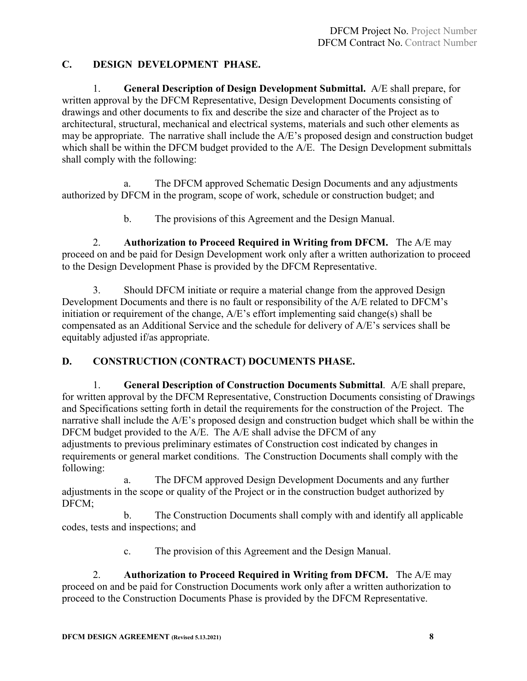# **C. DESIGN DEVELOPMENT PHASE.**

1. **General Description of Design Development Submittal.** A/E shall prepare, for written approval by the DFCM Representative, Design Development Documents consisting of drawings and other documents to fix and describe the size and character of the Project as to architectural, structural, mechanical and electrical systems, materials and such other elements as may be appropriate. The narrative shall include the A/E's proposed design and construction budget which shall be within the DFCM budget provided to the A/E. The Design Development submittals shall comply with the following:

a. The DFCM approved Schematic Design Documents and any adjustments authorized by DFCM in the program, scope of work, schedule or construction budget; and

b. The provisions of this Agreement and the Design Manual.

2. **Authorization to Proceed Required in Writing from DFCM.** The A/E may proceed on and be paid for Design Development work only after a written authorization to proceed to the Design Development Phase is provided by the DFCM Representative.

3. Should DFCM initiate or require a material change from the approved Design Development Documents and there is no fault or responsibility of the A/E related to DFCM's initiation or requirement of the change, A/E's effort implementing said change(s) shall be compensated as an Additional Service and the schedule for delivery of A/E's services shall be equitably adjusted if/as appropriate.

# **D. CONSTRUCTION (CONTRACT) DOCUMENTS PHASE.**

1. **General Description of Construction Documents Submittal**. A/E shall prepare, for written approval by the DFCM Representative, Construction Documents consisting of Drawings and Specifications setting forth in detail the requirements for the construction of the Project. The narrative shall include the A/E's proposed design and construction budget which shall be within the DFCM budget provided to the A/E. The A/E shall advise the DFCM of any adjustments to previous preliminary estimates of Construction cost indicated by changes in requirements or general market conditions. The Construction Documents shall comply with the following:

a. The DFCM approved Design Development Documents and any further adjustments in the scope or quality of the Project or in the construction budget authorized by DFCM;

b. The Construction Documents shall comply with and identify all applicable codes, tests and inspections; and

c. The provision of this Agreement and the Design Manual.

2. **Authorization to Proceed Required in Writing from DFCM.** The A/E may proceed on and be paid for Construction Documents work only after a written authorization to proceed to the Construction Documents Phase is provided by the DFCM Representative.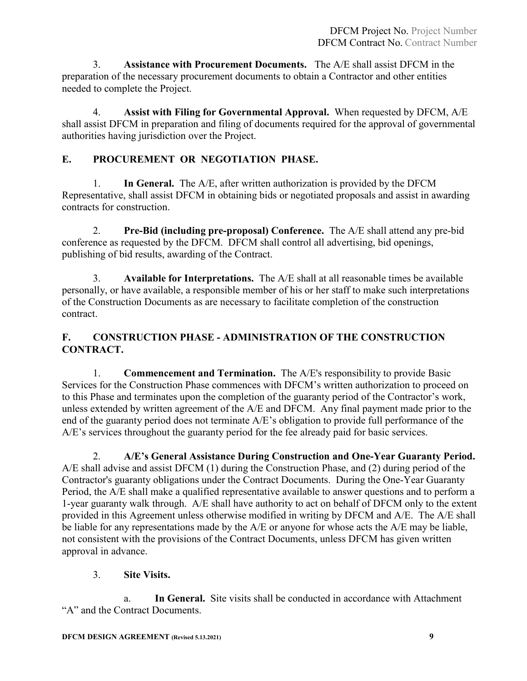3. **Assistance with Procurement Documents.** The A/E shall assist DFCM in the preparation of the necessary procurement documents to obtain a Contractor and other entities needed to complete the Project.

4. **Assist with Filing for Governmental Approval.** When requested by DFCM, A/E shall assist DFCM in preparation and filing of documents required for the approval of governmental authorities having jurisdiction over the Project.

# **E. PROCUREMENT OR NEGOTIATION PHASE.**

1. **In General.** The A/E, after written authorization is provided by the DFCM Representative, shall assist DFCM in obtaining bids or negotiated proposals and assist in awarding contracts for construction.

2. **Pre-Bid (including pre-proposal) Conference.** The A/E shall attend any pre-bid conference as requested by the DFCM. DFCM shall control all advertising, bid openings, publishing of bid results, awarding of the Contract.

3. **Available for Interpretations.** The A/E shall at all reasonable times be available personally, or have available, a responsible member of his or her staff to make such interpretations of the Construction Documents as are necessary to facilitate completion of the construction contract.

# **F. CONSTRUCTION PHASE - ADMINISTRATION OF THE CONSTRUCTION CONTRACT.**

1. **Commencement and Termination.** The A/E's responsibility to provide Basic Services for the Construction Phase commences with DFCM's written authorization to proceed on to this Phase and terminates upon the completion of the guaranty period of the Contractor's work, unless extended by written agreement of the A/E and DFCM. Any final payment made prior to the end of the guaranty period does not terminate A/E's obligation to provide full performance of the A/E's services throughout the guaranty period for the fee already paid for basic services.

2. **A/E's General Assistance During Construction and One-Year Guaranty Period.**  A/E shall advise and assist DFCM (1) during the Construction Phase, and (2) during period of the Contractor's guaranty obligations under the Contract Documents. During the One-Year Guaranty Period, the A/E shall make a qualified representative available to answer questions and to perform a 1-year guaranty walk through. A/E shall have authority to act on behalf of DFCM only to the extent provided in this Agreement unless otherwise modified in writing by DFCM and A/E. The A/E shall be liable for any representations made by the A/E or anyone for whose acts the A/E may be liable, not consistent with the provisions of the Contract Documents, unless DFCM has given written approval in advance.

# 3. **Site Visits.**

a. **In General.** Site visits shall be conducted in accordance with Attachment "A" and the Contract Documents.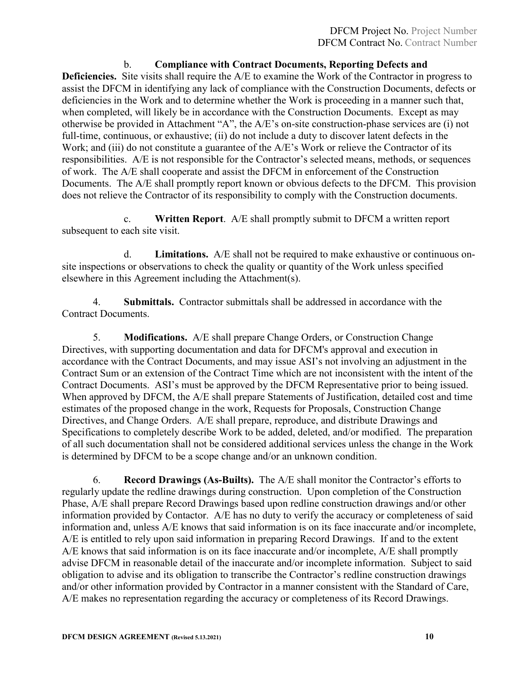## b. **Compliance with Contract Documents, Reporting Defects and**

**Deficiencies.** Site visits shall require the A/E to examine the Work of the Contractor in progress to assist the DFCM in identifying any lack of compliance with the Construction Documents, defects or deficiencies in the Work and to determine whether the Work is proceeding in a manner such that, when completed, will likely be in accordance with the Construction Documents. Except as may otherwise be provided in Attachment "A", the A/E's on-site construction-phase services are (i) not full-time, continuous, or exhaustive; (ii) do not include a duty to discover latent defects in the Work; and (iii) do not constitute a guarantee of the A/E's Work or relieve the Contractor of its responsibilities. A/E is not responsible for the Contractor's selected means, methods, or sequences of work. The A/E shall cooperate and assist the DFCM in enforcement of the Construction Documents. The A/E shall promptly report known or obvious defects to the DFCM. This provision does not relieve the Contractor of its responsibility to comply with the Construction documents.

c. **Written Report**. A/E shall promptly submit to DFCM a written report subsequent to each site visit.

d. **Limitations.** A/E shall not be required to make exhaustive or continuous onsite inspections or observations to check the quality or quantity of the Work unless specified elsewhere in this Agreement including the Attachment(s).

4. **Submittals.** Contractor submittals shall be addressed in accordance with the Contract Documents.

5. **Modifications.** A/E shall prepare Change Orders, or Construction Change Directives, with supporting documentation and data for DFCM's approval and execution in accordance with the Contract Documents, and may issue ASI's not involving an adjustment in the Contract Sum or an extension of the Contract Time which are not inconsistent with the intent of the Contract Documents. ASI's must be approved by the DFCM Representative prior to being issued. When approved by DFCM, the A/E shall prepare Statements of Justification, detailed cost and time estimates of the proposed change in the work, Requests for Proposals, Construction Change Directives, and Change Orders. A/E shall prepare, reproduce, and distribute Drawings and Specifications to completely describe Work to be added, deleted, and/or modified. The preparation of all such documentation shall not be considered additional services unless the change in the Work is determined by DFCM to be a scope change and/or an unknown condition.

6. **Record Drawings (As-Builts).** The A/E shall monitor the Contractor's efforts to regularly update the redline drawings during construction. Upon completion of the Construction Phase, A/E shall prepare Record Drawings based upon redline construction drawings and/or other information provided by Contactor. A/E has no duty to verify the accuracy or completeness of said information and, unless A/E knows that said information is on its face inaccurate and/or incomplete, A/E is entitled to rely upon said information in preparing Record Drawings. If and to the extent A/E knows that said information is on its face inaccurate and/or incomplete, A/E shall promptly advise DFCM in reasonable detail of the inaccurate and/or incomplete information. Subject to said obligation to advise and its obligation to transcribe the Contractor's redline construction drawings and/or other information provided by Contractor in a manner consistent with the Standard of Care, A/E makes no representation regarding the accuracy or completeness of its Record Drawings.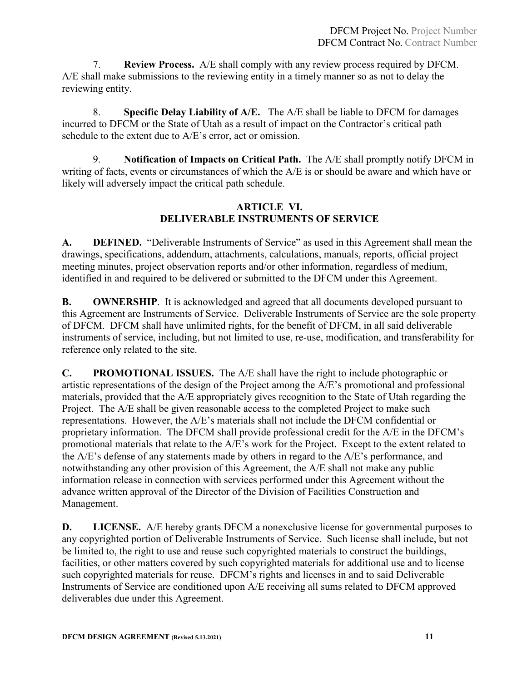7. **Review Process.** A/E shall comply with any review process required by DFCM. A/E shall make submissions to the reviewing entity in a timely manner so as not to delay the reviewing entity.

8. **Specific Delay Liability of A/E.** The A/E shall be liable to DFCM for damages incurred to DFCM or the State of Utah as a result of impact on the Contractor's critical path schedule to the extent due to A/E's error, act or omission.

9. **Notification of Impacts on Critical Path.** The A/E shall promptly notify DFCM in writing of facts, events or circumstances of which the A/E is or should be aware and which have or likely will adversely impact the critical path schedule.

# **ARTICLE VI. DELIVERABLE INSTRUMENTS OF SERVICE**

**A. DEFINED.** "Deliverable Instruments of Service" as used in this Agreement shall mean the drawings, specifications, addendum, attachments, calculations, manuals, reports, official project meeting minutes, project observation reports and/or other information, regardless of medium, identified in and required to be delivered or submitted to the DFCM under this Agreement.

**B. OWNERSHIP**. It is acknowledged and agreed that all documents developed pursuant to this Agreement are Instruments of Service. Deliverable Instruments of Service are the sole property of DFCM. DFCM shall have unlimited rights, for the benefit of DFCM, in all said deliverable instruments of service, including, but not limited to use, re-use, modification, and transferability for reference only related to the site.

**C. PROMOTIONAL ISSUES.** The A/E shall have the right to include photographic or artistic representations of the design of the Project among the A/E's promotional and professional materials, provided that the A/E appropriately gives recognition to the State of Utah regarding the Project. The A/E shall be given reasonable access to the completed Project to make such representations. However, the A/E's materials shall not include the DFCM confidential or proprietary information. The DFCM shall provide professional credit for the A/E in the DFCM's promotional materials that relate to the A/E's work for the Project. Except to the extent related to the A/E's defense of any statements made by others in regard to the A/E's performance, and notwithstanding any other provision of this Agreement, the A/E shall not make any public information release in connection with services performed under this Agreement without the advance written approval of the Director of the Division of Facilities Construction and Management.

**D. LICENSE.** A/E hereby grants DFCM a nonexclusive license for governmental purposes to any copyrighted portion of Deliverable Instruments of Service. Such license shall include, but not be limited to, the right to use and reuse such copyrighted materials to construct the buildings, facilities, or other matters covered by such copyrighted materials for additional use and to license such copyrighted materials for reuse. DFCM's rights and licenses in and to said Deliverable Instruments of Service are conditioned upon A/E receiving all sums related to DFCM approved deliverables due under this Agreement.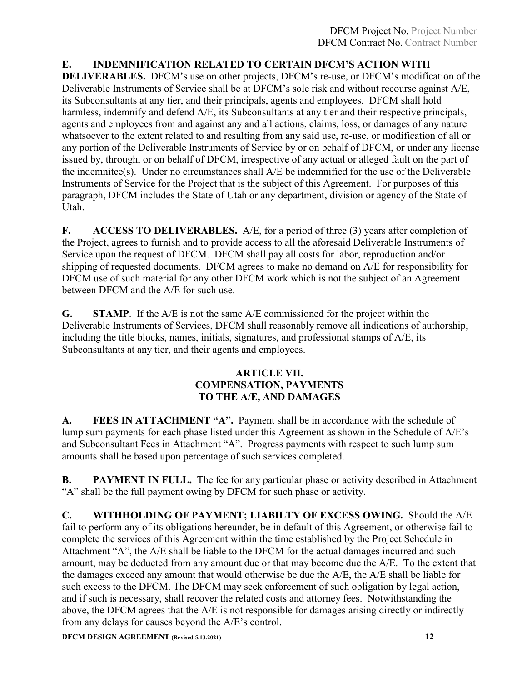## DFCM Project No. Project Number DFCM Contract No. Contract Number

# **E. INDEMNIFICATION RELATED TO CERTAIN DFCM'S ACTION WITH**

**DELIVERABLES.** DFCM's use on other projects, DFCM's re-use, or DFCM's modification of the Deliverable Instruments of Service shall be at DFCM's sole risk and without recourse against A/E, its Subconsultants at any tier, and their principals, agents and employees. DFCM shall hold harmless, indemnify and defend A/E, its Subconsultants at any tier and their respective principals, agents and employees from and against any and all actions, claims, loss, or damages of any nature whatsoever to the extent related to and resulting from any said use, re-use, or modification of all or any portion of the Deliverable Instruments of Service by or on behalf of DFCM, or under any license issued by, through, or on behalf of DFCM, irrespective of any actual or alleged fault on the part of the indemnitee(s). Under no circumstances shall A/E be indemnified for the use of the Deliverable Instruments of Service for the Project that is the subject of this Agreement. For purposes of this paragraph, DFCM includes the State of Utah or any department, division or agency of the State of Utah.

**F. ACCESS TO DELIVERABLES.** A/E, for a period of three (3) years after completion of the Project, agrees to furnish and to provide access to all the aforesaid Deliverable Instruments of Service upon the request of DFCM. DFCM shall pay all costs for labor, reproduction and/or shipping of requested documents. DFCM agrees to make no demand on A/E for responsibility for DFCM use of such material for any other DFCM work which is not the subject of an Agreement between DFCM and the A/E for such use.

**G. STAMP**. If the A/E is not the same A/E commissioned for the project within the Deliverable Instruments of Services, DFCM shall reasonably remove all indications of authorship, including the title blocks, names, initials, signatures, and professional stamps of A/E, its Subconsultants at any tier, and their agents and employees.

## **ARTICLE VII. COMPENSATION, PAYMENTS TO THE A/E, AND DAMAGES**

**A. FEES IN ATTACHMENT "A".** Payment shall be in accordance with the schedule of lump sum payments for each phase listed under this Agreement as shown in the Schedule of A/E's and Subconsultant Fees in Attachment "A". Progress payments with respect to such lump sum amounts shall be based upon percentage of such services completed.

**B. PAYMENT IN FULL.** The fee for any particular phase or activity described in Attachment "A" shall be the full payment owing by DFCM for such phase or activity.

**C. WITHHOLDING OF PAYMENT; LIABILTY OF EXCESS OWING.** Should the A/E fail to perform any of its obligations hereunder, be in default of this Agreement, or otherwise fail to complete the services of this Agreement within the time established by the Project Schedule in Attachment "A", the A/E shall be liable to the DFCM for the actual damages incurred and such amount, may be deducted from any amount due or that may become due the A/E. To the extent that the damages exceed any amount that would otherwise be due the A/E, the A/E shall be liable for such excess to the DFCM. The DFCM may seek enforcement of such obligation by legal action, and if such is necessary, shall recover the related costs and attorney fees. Notwithstanding the above, the DFCM agrees that the A/E is not responsible for damages arising directly or indirectly from any delays for causes beyond the A/E's control.

**DFCM DESIGN AGREEMENT (Revised 5.13.2021) 12**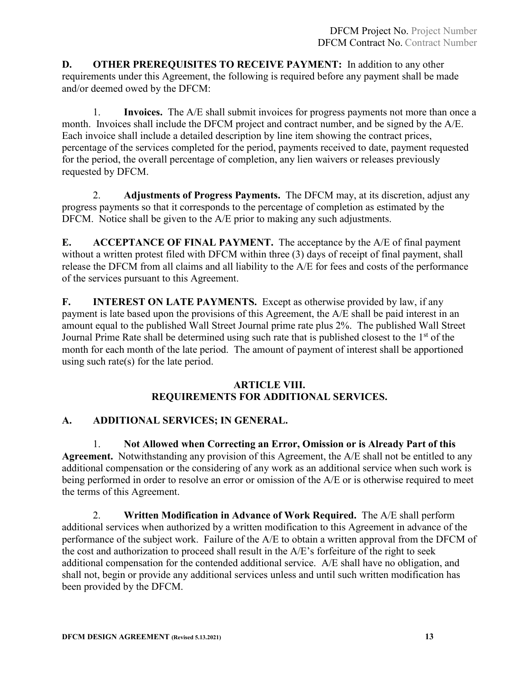**D. OTHER PREREQUISITES TO RECEIVE PAYMENT:** In addition to any other requirements under this Agreement, the following is required before any payment shall be made and/or deemed owed by the DFCM:

1. **Invoices.** The A/E shall submit invoices for progress payments not more than once a month. Invoices shall include the DFCM project and contract number, and be signed by the A/E. Each invoice shall include a detailed description by line item showing the contract prices, percentage of the services completed for the period, payments received to date, payment requested for the period, the overall percentage of completion, any lien waivers or releases previously requested by DFCM.

2. **Adjustments of Progress Payments.** The DFCM may, at its discretion, adjust any progress payments so that it corresponds to the percentage of completion as estimated by the DFCM. Notice shall be given to the A/E prior to making any such adjustments.

**E. ACCEPTANCE OF FINAL PAYMENT.** The acceptance by the A/E of final payment without a written protest filed with DFCM within three (3) days of receipt of final payment, shall release the DFCM from all claims and all liability to the A/E for fees and costs of the performance of the services pursuant to this Agreement.

**F. INTEREST ON LATE PAYMENTS.** Except as otherwise provided by law, if any payment is late based upon the provisions of this Agreement, the A/E shall be paid interest in an amount equal to the published Wall Street Journal prime rate plus 2%. The published Wall Street Journal Prime Rate shall be determined using such rate that is published closest to the 1<sup>st</sup> of the month for each month of the late period. The amount of payment of interest shall be apportioned using such rate(s) for the late period.

## **ARTICLE VIII. REQUIREMENTS FOR ADDITIONAL SERVICES.**

# **A. ADDITIONAL SERVICES; IN GENERAL.**

1. **Not Allowed when Correcting an Error, Omission or is Already Part of this Agreement.** Notwithstanding any provision of this Agreement, the A/E shall not be entitled to any additional compensation or the considering of any work as an additional service when such work is being performed in order to resolve an error or omission of the A/E or is otherwise required to meet the terms of this Agreement.

2. **Written Modification in Advance of Work Required.** The A/E shall perform additional services when authorized by a written modification to this Agreement in advance of the performance of the subject work. Failure of the A/E to obtain a written approval from the DFCM of the cost and authorization to proceed shall result in the A/E's forfeiture of the right to seek additional compensation for the contended additional service. A/E shall have no obligation, and shall not, begin or provide any additional services unless and until such written modification has been provided by the DFCM.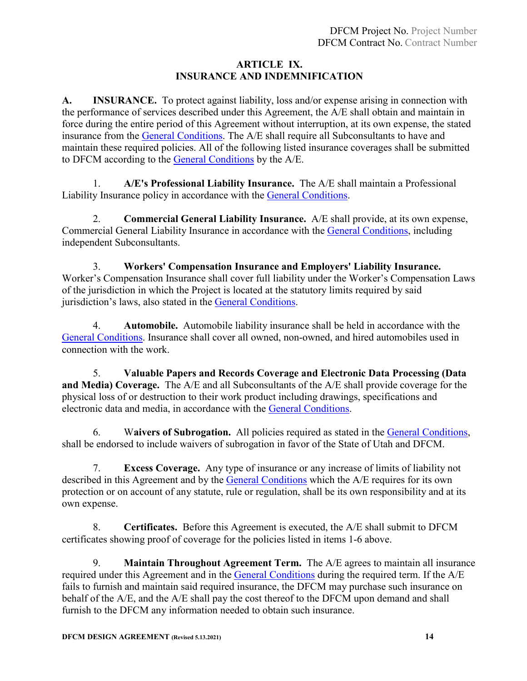# **ARTICLE IX. INSURANCE AND INDEMNIFICATION**

**A. INSURANCE.** To protect against liability, loss and/or expense arising in connection with the performance of services described under this Agreement, the A/E shall obtain and maintain in force during the entire period of this Agreement without interruption, at its own expense, the stated insurance from the [General Conditions.](https://dfcm.utah.gov/construction-management/#documents) The A/E shall require all Subconsultants to have and maintain these required policies. All of the following listed insurance coverages shall be submitted to DFCM according to the [General Conditions](https://dfcm.utah.gov/construction-management/#documents) by the A/E.

1. **A/E's Professional Liability Insurance.** The A/E shall maintain a Professional Liability Insurance policy in accordance with the [General Conditions.](https://dfcm.utah.gov/construction-management/#documents)

2. **Commercial General Liability Insurance.** A/E shall provide, at its own expense, Commercial General Liability Insurance in accordance with the [General Conditions,](https://dfcm.utah.gov/construction-management/#documents) including independent Subconsultants.

3. **Workers' Compensation Insurance and Employers' Liability Insurance.**  Worker's Compensation Insurance shall cover full liability under the Worker's Compensation Laws of the jurisdiction in which the Project is located at the statutory limits required by said jurisdiction's laws, also stated in the [General Conditions.](https://dfcm.utah.gov/construction-management/#documents)

4. **Automobile.** Automobile liability insurance shall be held in accordance with the [General Conditions.](https://dfcm.utah.gov/construction-management/#documents) Insurance shall cover all owned, non-owned, and hired automobiles used in connection with the work.

5. **Valuable Papers and Records Coverage and Electronic Data Processing (Data and Media) Coverage.** The A/E and all Subconsultants of the A/E shall provide coverage for the physical loss of or destruction to their work product including drawings, specifications and electronic data and media, in accordance with the [General Conditions.](https://dfcm.utah.gov/construction-management/#documents)

6. W**aivers of Subrogation.** All policies required as stated in the [General Conditions,](https://dfcm.utah.gov/construction-management/#documents) shall be endorsed to include waivers of subrogation in favor of the State of Utah and DFCM.

7. **Excess Coverage.** Any type of insurance or any increase of limits of liability not described in this Agreement and by the [General Conditions](https://dfcm.utah.gov/construction-management/#documents) which the A/E requires for its own protection or on account of any statute, rule or regulation, shall be its own responsibility and at its own expense.

8. **Certificates.** Before this Agreement is executed, the A/E shall submit to DFCM certificates showing proof of coverage for the policies listed in items 1-6 above.

9. **Maintain Throughout Agreement Term.** The A/E agrees to maintain all insurance required under this Agreement and in the [General Conditions](https://dfcm.utah.gov/construction-management/#documents) during the required term. If the A/E fails to furnish and maintain said required insurance, the DFCM may purchase such insurance on behalf of the A/E, and the A/E shall pay the cost thereof to the DFCM upon demand and shall furnish to the DFCM any information needed to obtain such insurance.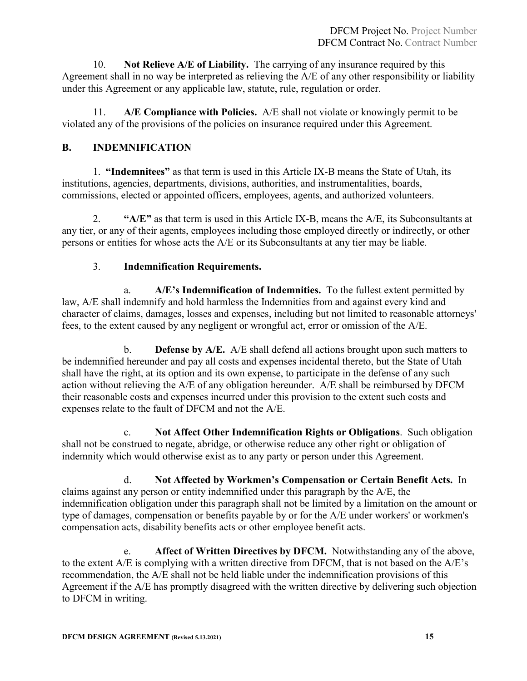10. **Not Relieve A/E of Liability.** The carrying of any insurance required by this Agreement shall in no way be interpreted as relieving the A/E of any other responsibility or liability under this Agreement or any applicable law, statute, rule, regulation or order.

11. **A/E Compliance with Policies.** A/E shall not violate or knowingly permit to be violated any of the provisions of the policies on insurance required under this Agreement.

# **B. INDEMNIFICATION**

1. **"Indemnitees"** as that term is used in this Article IX-B means the State of Utah, its institutions, agencies, departments, divisions, authorities, and instrumentalities, boards, commissions, elected or appointed officers, employees, agents, and authorized volunteers.

2. **"A/E"** as that term is used in this Article IX-B, means the A/E, its Subconsultants at any tier, or any of their agents, employees including those employed directly or indirectly, or other persons or entities for whose acts the A/E or its Subconsultants at any tier may be liable.

# 3. **Indemnification Requirements.**

a. **A/E's Indemnification of Indemnities.** To the fullest extent permitted by law, A/E shall indemnify and hold harmless the Indemnities from and against every kind and character of claims, damages, losses and expenses, including but not limited to reasonable attorneys' fees, to the extent caused by any negligent or wrongful act, error or omission of the A/E.

b. **Defense by A/E.** A/E shall defend all actions brought upon such matters to be indemnified hereunder and pay all costs and expenses incidental thereto, but the State of Utah shall have the right, at its option and its own expense, to participate in the defense of any such action without relieving the A/E of any obligation hereunder. A/E shall be reimbursed by DFCM their reasonable costs and expenses incurred under this provision to the extent such costs and expenses relate to the fault of DFCM and not the A/E.

c. **Not Affect Other Indemnification Rights or Obligations**. Such obligation shall not be construed to negate, abridge, or otherwise reduce any other right or obligation of indemnity which would otherwise exist as to any party or person under this Agreement.

d. **Not Affected by Workmen's Compensation or Certain Benefit Acts.** In claims against any person or entity indemnified under this paragraph by the A/E, the indemnification obligation under this paragraph shall not be limited by a limitation on the amount or type of damages, compensation or benefits payable by or for the A/E under workers' or workmen's compensation acts, disability benefits acts or other employee benefit acts.

e. **Affect of Written Directives by DFCM.** Notwithstanding any of the above, to the extent A/E is complying with a written directive from DFCM, that is not based on the A/E's recommendation, the A/E shall not be held liable under the indemnification provisions of this Agreement if the A/E has promptly disagreed with the written directive by delivering such objection to DFCM in writing.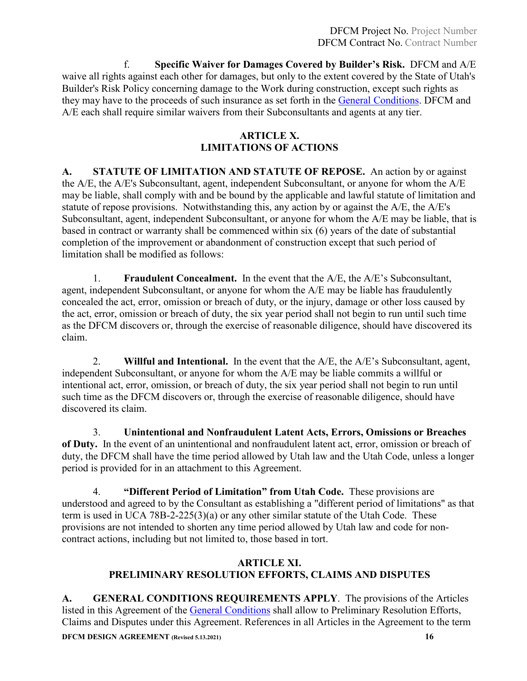f. **Specific Waiver for Damages Covered by Builder's Risk.** DFCM and A/E waive all rights against each other for damages, but only to the extent covered by the State of Utah's Builder's Risk Policy concerning damage to the Work during construction, except such rights as they may have to the proceeds of such insurance as set forth in the [General Conditions.](https://dfcm.utah.gov/construction-management/#documents) DFCM and A/E each shall require similar waivers from their Subconsultants and agents at any tier.

# **ARTICLE X. LIMITATIONS OF ACTIONS**

**A. STATUTE OF LIMITATION AND STATUTE OF REPOSE.** An action by or against the A/E, the A/E's Subconsultant, agent, independent Subconsultant, or anyone for whom the A/E may be liable, shall comply with and be bound by the applicable and lawful statute of limitation and statute of repose provisions. Notwithstanding this, any action by or against the A/E, the A/E's Subconsultant, agent, independent Subconsultant, or anyone for whom the A/E may be liable, that is based in contract or warranty shall be commenced within six (6) years of the date of substantial completion of the improvement or abandonment of construction except that such period of limitation shall be modified as follows:

1. **Fraudulent Concealment.** In the event that the A/E, the A/E's Subconsultant, agent, independent Subconsultant, or anyone for whom the A/E may be liable has fraudulently concealed the act, error, omission or breach of duty, or the injury, damage or other loss caused by the act, error, omission or breach of duty, the six year period shall not begin to run until such time as the DFCM discovers or, through the exercise of reasonable diligence, should have discovered its claim.

2. **Willful and Intentional.** In the event that the A/E, the A/E's Subconsultant, agent, independent Subconsultant, or anyone for whom the A/E may be liable commits a willful or intentional act, error, omission, or breach of duty, the six year period shall not begin to run until such time as the DFCM discovers or, through the exercise of reasonable diligence, should have discovered its claim.

3. **Unintentional and Nonfraudulent Latent Acts, Errors, Omissions or Breaches of Duty.** In the event of an unintentional and nonfraudulent latent act, error, omission or breach of duty, the DFCM shall have the time period allowed by Utah law and the Utah Code, unless a longer period is provided for in an attachment to this Agreement.

4. **"Different Period of Limitation" from Utah Code.** These provisions are understood and agreed to by the Consultant as establishing a "different period of limitations" as that term is used in UCA 78B-2-225(3)(a) or any other similar statute of the Utah Code. These provisions are not intended to shorten any time period allowed by Utah law and code for noncontract actions, including but not limited to, those based in tort.

# **ARTICLE XI. PRELIMINARY RESOLUTION EFFORTS, CLAIMS AND DISPUTES**

**DFCM DESIGN AGREEMENT (Revised 5.13.2021) 16 A. GENERAL CONDITIONS REQUIREMENTS APPLY**. The provisions of the Articles listed in this Agreement of the [General Conditions](https://dfcm.utah.gov/construction-management/#documents) shall allow to Preliminary Resolution Efforts, Claims and Disputes under this Agreement. References in all Articles in the Agreement to the term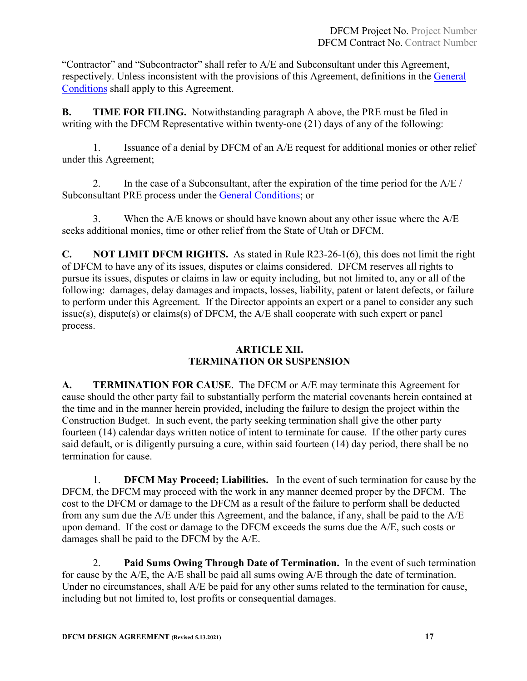"Contractor" and "Subcontractor" shall refer to A/E and Subconsultant under this Agreement, respectively. Unless inconsistent with the provisions of this Agreement, definitions in the [General](https://dfcm.utah.gov/construction-management/#documents)  [Conditions](https://dfcm.utah.gov/construction-management/#documents) shall apply to this Agreement.

**B. TIME FOR FILING.** Notwithstanding paragraph A above, the PRE must be filed in writing with the DFCM Representative within twenty-one (21) days of any of the following:

1. Issuance of a denial by DFCM of an A/E request for additional monies or other relief under this Agreement;

2. In the case of a Subconsultant, after the expiration of the time period for the A/E / Subconsultant PRE process under the [General Conditions;](https://dfcm.utah.gov/construction-management/#documents) or

3. When the A/E knows or should have known about any other issue where the A/E seeks additional monies, time or other relief from the State of Utah or DFCM.

**C. NOT LIMIT DFCM RIGHTS.** As stated in Rule R23-26-1(6), this does not limit the right of DFCM to have any of its issues, disputes or claims considered. DFCM reserves all rights to pursue its issues, disputes or claims in law or equity including, but not limited to, any or all of the following: damages, delay damages and impacts, losses, liability, patent or latent defects, or failure to perform under this Agreement. If the Director appoints an expert or a panel to consider any such issue(s), dispute(s) or claims(s) of DFCM, the A/E shall cooperate with such expert or panel process.

# **ARTICLE XII. TERMINATION OR SUSPENSION**

**A. TERMINATION FOR CAUSE**. The DFCM or A/E may terminate this Agreement for cause should the other party fail to substantially perform the material covenants herein contained at the time and in the manner herein provided, including the failure to design the project within the Construction Budget. In such event, the party seeking termination shall give the other party fourteen (14) calendar days written notice of intent to terminate for cause. If the other party cures said default, or is diligently pursuing a cure, within said fourteen (14) day period, there shall be no termination for cause.

1. **DFCM May Proceed; Liabilities.** In the event of such termination for cause by the DFCM, the DFCM may proceed with the work in any manner deemed proper by the DFCM. The cost to the DFCM or damage to the DFCM as a result of the failure to perform shall be deducted from any sum due the A/E under this Agreement, and the balance, if any, shall be paid to the A/E upon demand. If the cost or damage to the DFCM exceeds the sums due the A/E, such costs or damages shall be paid to the DFCM by the A/E.

2. **Paid Sums Owing Through Date of Termination.** In the event of such termination for cause by the A/E, the A/E shall be paid all sums owing A/E through the date of termination. Under no circumstances, shall A/E be paid for any other sums related to the termination for cause, including but not limited to, lost profits or consequential damages.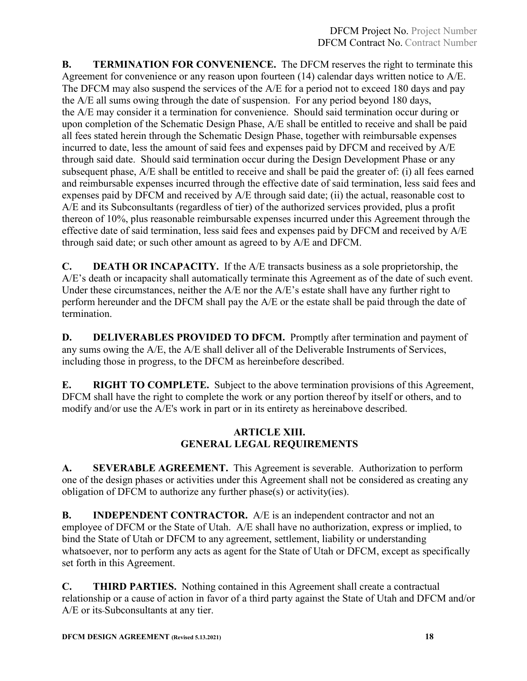**B. TERMINATION FOR CONVENIENCE.** The DFCM reserves the right to terminate this Agreement for convenience or any reason upon fourteen (14) calendar days written notice to A/E. The DFCM may also suspend the services of the A/E for a period not to exceed 180 days and pay the A/E all sums owing through the date of suspension. For any period beyond 180 days, the A/E may consider it a termination for convenience. Should said termination occur during or upon completion of the Schematic Design Phase, A/E shall be entitled to receive and shall be paid all fees stated herein through the Schematic Design Phase, together with reimbursable expenses incurred to date, less the amount of said fees and expenses paid by DFCM and received by A/E through said date. Should said termination occur during the Design Development Phase or any subsequent phase, A/E shall be entitled to receive and shall be paid the greater of: (i) all fees earned and reimbursable expenses incurred through the effective date of said termination, less said fees and expenses paid by DFCM and received by A/E through said date; (ii) the actual, reasonable cost to A/E and its Subconsultants (regardless of tier) of the authorized services provided, plus a profit thereon of 10%, plus reasonable reimbursable expenses incurred under this Agreement through the effective date of said termination, less said fees and expenses paid by DFCM and received by A/E through said date; or such other amount as agreed to by A/E and DFCM.

**C. DEATH OR INCAPACITY.** If the A/E transacts business as a sole proprietorship, the A/E's death or incapacity shall automatically terminate this Agreement as of the date of such event. Under these circumstances, neither the A/E nor the A/E's estate shall have any further right to perform hereunder and the DFCM shall pay the A/E or the estate shall be paid through the date of termination.

**D. DELIVERABLES PROVIDED TO DFCM.** Promptly after termination and payment of any sums owing the A/E, the A/E shall deliver all of the Deliverable Instruments of Services, including those in progress, to the DFCM as hereinbefore described.

**E. RIGHT TO COMPLETE.** Subject to the above termination provisions of this Agreement, DFCM shall have the right to complete the work or any portion thereof by itself or others, and to modify and/or use the A/E's work in part or in its entirety as hereinabove described.

# **ARTICLE XIII. GENERAL LEGAL REQUIREMENTS**

**A. SEVERABLE AGREEMENT.** This Agreement is severable. Authorization to perform one of the design phases or activities under this Agreement shall not be considered as creating any obligation of DFCM to authorize any further phase(s) or activity(ies).

**B. INDEPENDENT CONTRACTOR.** A/E is an independent contractor and not an employee of DFCM or the State of Utah. A/E shall have no authorization, express or implied, to bind the State of Utah or DFCM to any agreement, settlement, liability or understanding whatsoever, nor to perform any acts as agent for the State of Utah or DFCM, except as specifically set forth in this Agreement.

**C. THIRD PARTIES.** Nothing contained in this Agreement shall create a contractual relationship or a cause of action in favor of a third party against the State of Utah and DFCM and/or A/E or its-Subconsultants at any tier.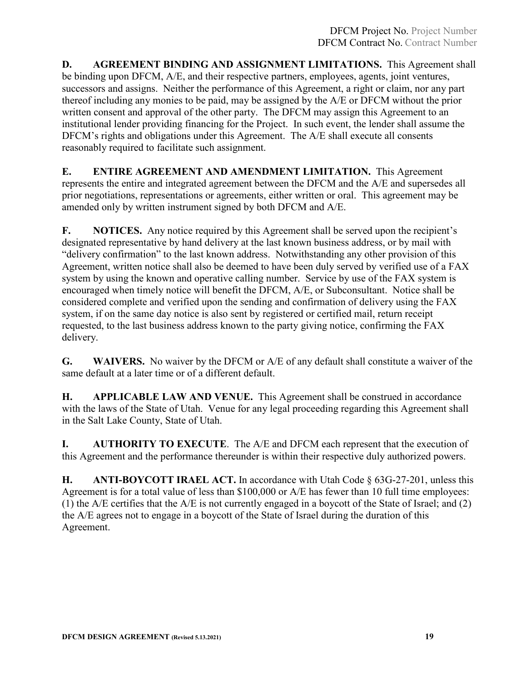**D. AGREEMENT BINDING AND ASSIGNMENT LIMITATIONS.** This Agreement shall be binding upon DFCM, A/E, and their respective partners, employees, agents, joint ventures, successors and assigns. Neither the performance of this Agreement, a right or claim, nor any part thereof including any monies to be paid, may be assigned by the A/E or DFCM without the prior written consent and approval of the other party. The DFCM may assign this Agreement to an institutional lender providing financing for the Project. In such event, the lender shall assume the DFCM's rights and obligations under this Agreement. The A/E shall execute all consents reasonably required to facilitate such assignment.

**E. ENTIRE AGREEMENT AND AMENDMENT LIMITATION.** This Agreement represents the entire and integrated agreement between the DFCM and the A/E and supersedes all prior negotiations, representations or agreements, either written or oral. This agreement may be amended only by written instrument signed by both DFCM and A/E.

**F. NOTICES.** Any notice required by this Agreement shall be served upon the recipient's designated representative by hand delivery at the last known business address, or by mail with "delivery confirmation" to the last known address. Notwithstanding any other provision of this Agreement, written notice shall also be deemed to have been duly served by verified use of a FAX system by using the known and operative calling number. Service by use of the FAX system is encouraged when timely notice will benefit the DFCM, A/E, or Subconsultant. Notice shall be considered complete and verified upon the sending and confirmation of delivery using the FAX system, if on the same day notice is also sent by registered or certified mail, return receipt requested, to the last business address known to the party giving notice, confirming the FAX delivery.

**G. WAIVERS.** No waiver by the DFCM or A/E of any default shall constitute a waiver of the same default at a later time or of a different default.

**H. APPLICABLE LAW AND VENUE.** This Agreement shall be construed in accordance with the laws of the State of Utah. Venue for any legal proceeding regarding this Agreement shall in the Salt Lake County, State of Utah.

**I. AUTHORITY TO EXECUTE**. The A/E and DFCM each represent that the execution of this Agreement and the performance thereunder is within their respective duly authorized powers.

**H. ANTI-BOYCOTT IRAEL ACT.** In accordance with Utah Code § 63G-27-201, unless this Agreement is for a total value of less than \$100,000 or A/E has fewer than 10 full time employees: (1) the A/E certifies that the A/E is not currently engaged in a boycott of the State of Israel; and (2) the A/E agrees not to engage in a boycott of the State of Israel during the duration of this Agreement.